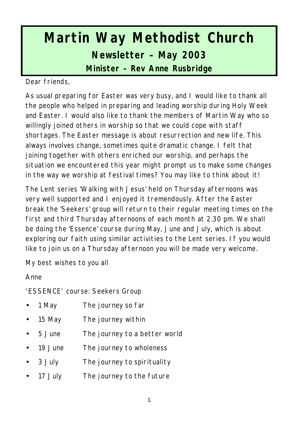# **Martin Way Methodist Church Newsletter – May 2003 Minister – Rev Anne Rusbridge**

Dear friends,

As usual preparing for Easter was very busy, and I would like to thank all the people who helped in preparing and leading worship during Holy Week and Easter. I would also like to thank the members of Martin Way who so willingly joined others in worship so that we could cope with staff shortages. The Easter message is about resurrection and new life. This always involves change, sometimes quite dramatic change. I felt that joining together with others enriched our worship, and perhaps the situation we encountered this year might prompt us to make some changes in the way we worship at festival times? You may like to think about it!

The Lent series 'Walking with Jesus' held on Thursday afternoons was very well supported and I enjoyed it tremendously. After the Easter break the 'Seekers' group will return to their regular meeting times on the first and third Thursday afternoons of each month at 2.30 pm. We shall be doing the 'Essence' course during May, June and July, which is about exploring our faith using similar activities to the Lent series. If you would like to join us on a Thursday afternoon you will be made very welcome.

My best wishes to you all

Anne

'ESSENCE' course: Seekers Group

- 1 May The journey so far
- 15 May The journey within
- 5 June The journey to a better world
- 19 June The journey to wholeness
- 3 July The journey to spirituality
- 17 July The journey to the future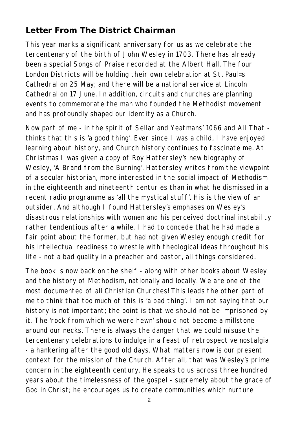## **Letter From The District Chairman**

This year marks a significant anniversary for us as we celebrate the tercentenary of the birth of John Wesley in 1703. There has already been a special Songs of Praise recorded at the Albert Hall. The four London Districts will be holding their own celebration at St. Paul=s Cathedral on 25 May; and there will be a national service at Lincoln Cathedral on 17 June. In addition, circuits and churches are planning events to commemorate the man who founded the Methodist movement and has profoundly shaped our identity as a Church.

Now part of me - in the spirit of Sellar and Yeatmans' 1066 and All That thinks that this is 'a good thing'. Ever since I was a child, I have enjoyed learning about history, and Church history continues to fascinate me. At Christmas I was given a copy of Roy Hattersley's new biography of Wesley, 'A Brand from the Burning'. Hattersley writes from the viewpoint of a secular historian, more interested in the social impact of Methodism in the eighteenth and nineteenth centuries than in what he dismissed in a recent radio programme as 'all the mystical stuff'. His is the view of an outsider. And although I found Hattersley's emphases on Wesley's disastrous relationships with women and his perceived doctrinal instability rather tendentious after a while, I had to concede that he had made a fair point about the former, but had not given Wesley enough credit for his intellectual readiness to wrestle with theological ideas throughout his life - not a bad quality in a preacher and pastor, all things considered.

The book is now back on the shelf - along with other books about Wesley and the history of Methodism, nationally and locally. We are one of the most documented of all Christian Churches! This leads the other part of me to think that too much of this is 'a bad thing'. I am not saying that our history is not important; the point is that we should not be imprisoned by it. The 'rock from which we were hewn' should not become a millstone around our necks. There is always the danger that we could misuse the tercentenary celebrations to indulge in a feast of retrospective nostalgia - a hankering after the good old days. What matters now is our present context for the mission of the Church. After all, that was Wesley's prime concern in the eighteenth century. He speaks to us across three hundred years about the timelessness of the gospel - supremely about the grace of God in Christ; he encourages us to create communities which nurture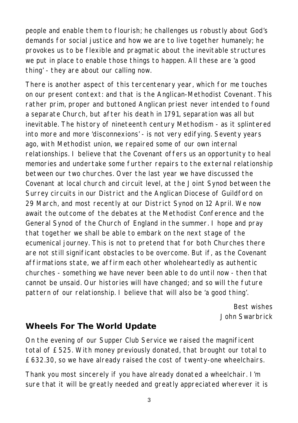people and enable them to flourish; he challenges us robustly about God's demands for social justice and how we are to live together humanely; he provokes us to be flexible and pragmatic about the inevitable structures we put in place to enable those things to happen. All these are 'a good thing' - they are about our calling now.

There is another aspect of this tercentenary year, which for me touches on our present context: and that is the Anglican-Methodist Covenant. This rather prim, proper and buttoned Anglican priest never intended to found a separate Church, but after his death in 1791, separation was all but inevitable. The history of nineteenth century Methodism - as it splintered into more and more 'disconnexions' - is not very edifying. Seventy years ago, with Methodist union, we repaired some of our own internal relationships. I believe that the Covenant offers us an opportunity to heal memories and undertake some further repairs to the external relationship between our two churches. Over the last year we have discussed the Covenant at local church and circuit level, at the Joint Synod between the Surrey circuits in our District and the Anglican Diocese of Guildford on 29 March, and most recently at our District Synod on 12 April. We now await the outcome of the debates at the Methodist Conference and the General Synod of the Church of England in the summer. I hope and pray that together we shall be able to embark on the next stage of the ecumenical journey. This is not to pretend that for both Churches there are not still significant obstacles to be overcome. But if, as the Covenant affirmations state, we affirm each other wholeheartedly as authentic churches - something we have never been able to do until now - then that cannot be unsaid. Our histories will have changed; and so will the future pattern of our relationship. I believe that will also be 'a good thing'.

> *Best wishes John Swarbrick*

#### **Wheels For The World Update**

On the evening of our Supper Club Service we raised the magnificent total of £525. With money previously donated, that brought our total to £632.30, so we have already raised the cost of twenty-one wheelchairs.

Thank you most sincerely if you have already donated a wheelchair. I'm sure that it will be greatly needed and greatly appreciated wherever it is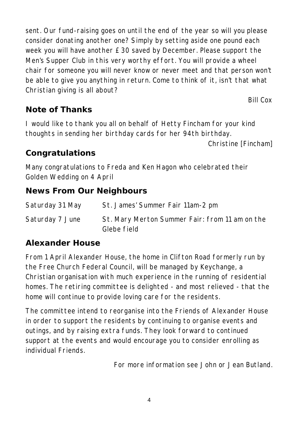sent. Our fund-raising goes on until the end of the year so will you please consider donating another one? Simply by setting aside one pound each week you will have another £30 saved by December. Please support the Men's Supper Club in this very worthy effort. You will provide a wheel chair for someone you will never know or never meet and that person won't be able to give you anything in return. Come to think of it, isn't that what Christian giving is all about?

*Bill Cox*

#### **Note of Thanks**

I would like to thank you all on behalf of Hetty Fincham for your kind thoughts in sending her birthday cards for her 94th birthday.

*Christine [Fincham]*

#### **Congratulations**

Many congratulations to Freda and Ken Hagon who celebrated their Golden Wedding on 4 April

#### **News From Our Neighbours**

| Saturday 31 May | St. James' Summer Fair 11am-2 pm                              |
|-----------------|---------------------------------------------------------------|
| Saturday 7 June | St. Mary Merton Summer Fair: from 11 am on the<br>Glebe field |

#### **Alexander House**

From 1 April Alexander House, the home in Clifton Road formerly run by the Free Church Federal Council, will be managed by Keychange, a Christian organisation with much experience in the running of residential homes. The retiring committee is delighted - and most relieved - that the home will continue to provide loving care for the residents.

The committee intend to reorganise into the Friends of Alexander House in order to support the residents by continuing to organise events and outings, and by raising extra funds. They look forward to continued support at the events and would encourage you to consider enrolling as individual Friends.

*For more information see John or Jean Butland.*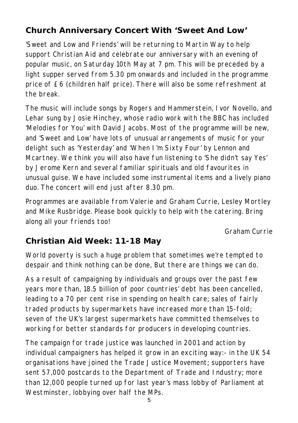## **Church Anniversary Concert With 'Sweet And Low'**

'Sweet and Low and Friends' will be returning to Martin Way to help support Christian Aid and celebrate our anniversary with an evening of popular music, on Saturday 10th May at 7 pm. This will be preceded by a light supper served from 5.30 pm onwards and included in the programme price of £6 (children half price). There will also be some refreshment at the break.

The music will include songs by Rogers and Hammerstein, Ivor Novello, and Lehar sung by Josie Hinchey, whose radio work with the BBC has included 'Melodies for You' with David Jacobs. Most of the programme will be new, and 'Sweet and Low' have lots of unusual arrangements of music for your delight such as 'Yesterday' and 'When I'm Sixty Four' by Lennon and Mcartney. We think you will also have fun listening to 'She didn't say Yes' by Jerome Kern and several familiar spirituals and old favourites in unusual guise. We have included some instrumental items and a lively piano duo. The concert will end just after 8.30 pm.

Programmes are available from Valerie and Graham Currie, Lesley Mortley and Mike Rusbridge. Please book quickly to help with the catering. Bring along all your friends too!

*Graham Currie*

## **Christian Aid Week: 11-18 May**

World poverty is such a huge problem that sometimes we're tempted to despair and think nothing can be done, But there are things we can do.

As a result of campaigning by individuals and groups over the past few years more than, 18.5 billion of poor countries' debt has been cancelled, leading to a 70 per cent rise in spending on health care; sales of fairly traded products by supermarkets have increased more than 15-fold; seven of the UK's largest supermarkets have committed themselves to working for better standards for producers in developing countries.

The campaign for trade justice was launched in 2001 and action by individual campaigners has helped it grow in an exciting way:- in the UK 54 organisations have joined the Trade Justice Movement; supporters have sent 57,000 postcards to the Department of Trade and Industry; more than 12,000 people turned up for last year's mass lobby of Parliament at Westminster, lobbying over half the MPs.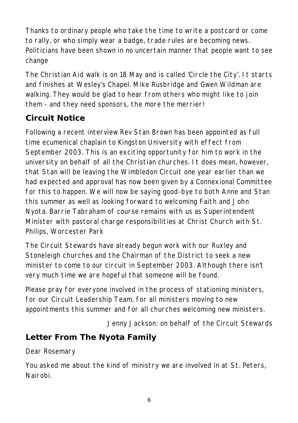Thanks to ordinary people who take the time to write a postcard or come to rally, or who simply wear a badge, trade rules are becoming news. Politicians have been shown in no uncertain manner that people want to see change

The Christian Aid walk is on 18 May and is called 'Circle the City'. It starts and finishes at Wesley's Chapel. Mike Rusbridge and Gwen Wildman are walking. They would be glad to hear from others who might like to join them - and they need sponsors, the more the merrier!

## **Circuit Notice**

Following a recent interview Rev Stan Brown has been appointed as full time ecumenical chaplain to Kingston University with effect from September 2003. This is an exciting opportunity for him to work in the university on behalf of all the Christian churches. It does mean, however, that Stan will be leaving the Wimbledon Circuit one year earlier than we had expected and approval has now been given by a Connexional Committee for this to happen. We will now be saying good-bye to both Anne and Stan this summer as well as looking forward to welcoming Faith and John Nyota. Barrie Tabraham of course remains with us as Superintendent Minister with pastoral charge responsibilities at Christ Church with St. Philips, Worcester Park

The Circuit Stewards have already begun work with our Ruxley and Stoneleigh churches and the Chairman of the District to seek a new minister to come to our circuit in September 2003. Although there isn't very much time we are hopeful that someone will be found.

Please pray for everyone involved in the process of stationing ministers, for our Circuit Leadership Team, for all ministers moving to new appointments this summer and for all churches welcoming new ministers.

*Jenny Jackson: on behalf of the Circuit Stewards*

# **Letter From The Nyota Family**

Dear Rosemary

You asked me about the kind of ministry we are involved in at St. Peters, Nairobi.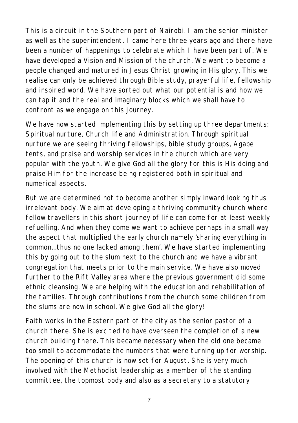This is a circuit in the Southern part of Nairobi. I am the senior minister as well as the superintendent. I came here three years ago and there have been a number of happenings to celebrate which I have been part of. We have developed a Vision and Mission of the church. We want to become a people changed and matured in Jesus Christ growing in His glory. This we realise can only be achieved through Bible study, prayerful life, fellowship and inspired word. We have sorted out what our potential is and how we can tap it and the real and imaginary blocks which we shall have to confront as we engage on this journey.

We have now started implementing this by setting up three departments: Spiritual nurture, Church life and Administration. Through spiritual nurture we are seeing thriving fellowships, bible study groups, Agape tents, and praise and worship services in the church which are very popular with the youth. We give God all the glory for this is His doing and praise Him for the increase being registered both in spiritual and numerical aspects.

But we are determined not to become another simply inward looking thus irrelevant body. We aim at developing a thriving community church where fellow travellers in this short journey of life can come for at least weekly refuelling. And when they come we want to achieve perhaps in a small way the aspect that multiplied the early church namely 'sharing everything in common...thus no one lacked among them'. We have started implementing this by going out to the slum next to the church and we have a vibrant congregation that meets prior to the main service. We have also moved further to the Rift Valley area where the previous government did some ethnic cleansing. We are helping with the education and rehabilitation of the families. Through contributions from the church some children from the slums are now in school. We give God all the glory!

Faith works in the Eastern part of the city as the senior pastor of a church there. She is excited to have overseen the completion of a new church building there. This became necessary when the old one became too small to accommodate the numbers that were turning up for worship. The opening of this church is now set for August. She is very much involved with the Methodist leadership as a member of the standing committee, the topmost body and also as a secretary to a statutory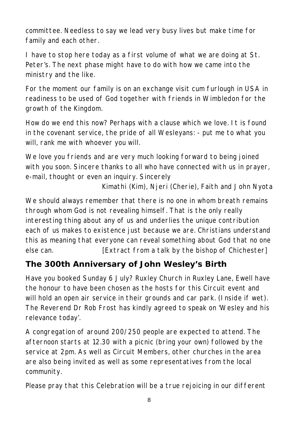committee. Needless to say we lead very busy lives but make time for family and each other.

I have to stop here today as a first volume of what we are doing at St. Peter's. The next phase might have to do with how we came into the ministry and the like.

For the moment our family is on an exchange visit cum furlough in USA in readiness to be used of God together with friends in Wimbledon for the growth of the Kingdom.

How do we end this now? Perhaps with a clause which we love. It is found in the covenant service, the pride of all Wesleyans: - put me to what you will, rank me with whoever you will.

We love you friends and are very much looking forward to being joined with you soon. Sincere thanks to all who have connected with us in prayer, e-mail, thought or even an inquiry. Sincerely

*Kimathi (Kim), Njeri (Cherie), Faith and John Nyota*

We should always remember that there is no one in whom breath remains through whom God is not revealing himself. That is the only really interesting thing about any of us and underlies the unique contribution each of us makes to existence just because we are. Christians understand this as meaning that everyone can reveal something about God that no one else can. *[Extract from a talk by the bishop of Chichester]*

# **The 300th Anniversary of John Wesley's Birth**

Have you booked Sunday 6 July? Ruxley Church in Ruxley Lane, Ewell have the honour to have been chosen as the hosts for this Circuit event and will hold an open air service in their grounds and car park. (Inside if wet). The Reverend Dr Rob Frost has kindly agreed to speak on 'Wesley and his relevance today'.

A congregation of around 200/250 people are expected to attend. The afternoon starts at 12.30 with a picnic (bring your own) followed by the service at 2pm. As well as Circuit Members, other churches in the area are also being invited as well as some representatives from the local community.

Please pray that this Celebration will be a true rejoicing in our different